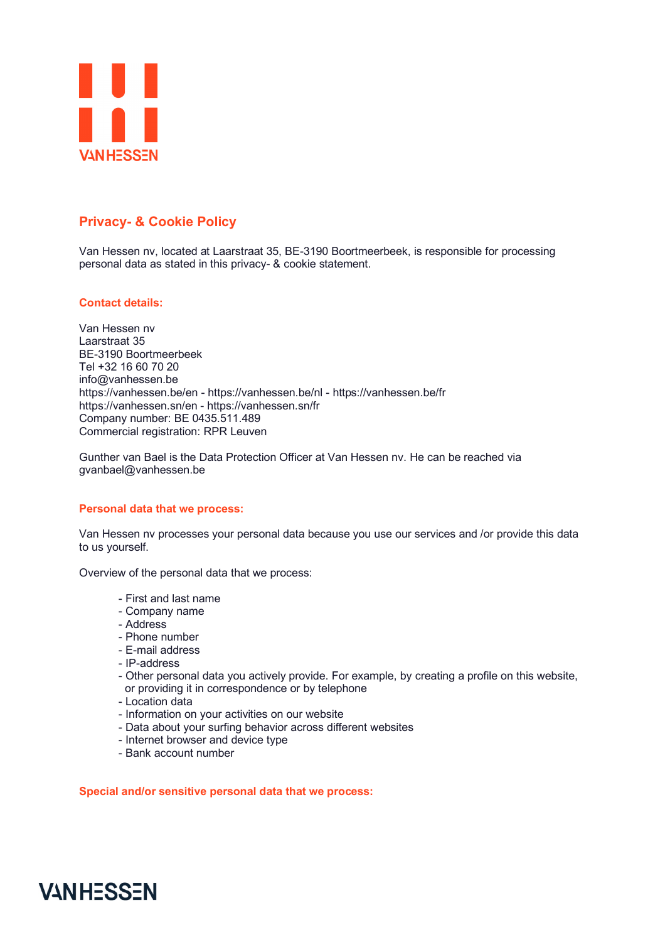

## **Privacy- & Cookie Policy**

Van Hessen nv, located at Laarstraat 35, BE-3190 Boortmeerbeek, is responsible for processing personal data as stated in this privacy- & cookie statement.

## **Contact details:**

Van Hessen nv Laarstraat 35 BE-3190 Boortmeerbeek Tel +32 16 60 70 20 info@vanhessen.be https://vanhessen.be/en - https://vanhessen.be/nl - https://vanhessen.be/fr https://vanhessen.sn/en - https://vanhessen.sn/fr Company number: BE 0435.511.489 Commercial registration: RPR Leuven

Gunther van Bael is the Data Protection Officer at Van Hessen nv. He can be reached via gvanbael@vanhessen.be

#### **Personal data that we process:**

Van Hessen nv processes your personal data because you use our services and /or provide this data to us yourself.

Overview of the personal data that we process:

- First and last name
- Company name
- Address
- Phone number
- E-mail address
- IP-address
- Other personal data you actively provide. For example, by creating a profile on this website, or providing it in correspondence or by telephone
- Location data
- Information on your activities on our website
- Data about your surfing behavior across different websites
- Internet browser and device type
- Bank account number

**Special and/or sensitive personal data that we process:** 

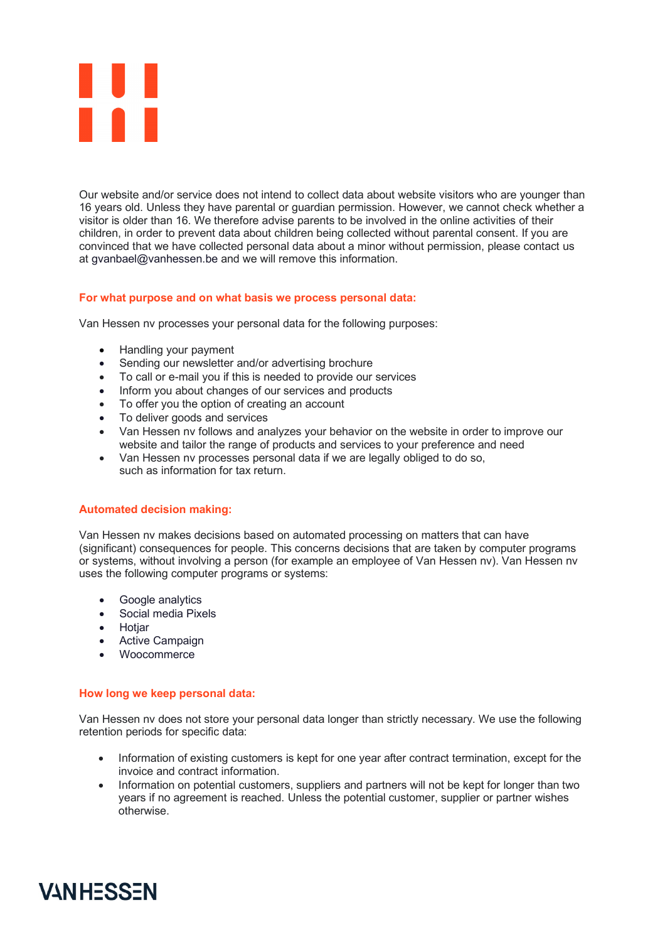

Our website and/or service does not intend to collect data about website visitors who are younger than 16 years old. Unless they have parental or guardian permission. However, we cannot check whether a visitor is older than 16. We therefore advise parents to be involved in the online activities of their children, in order to prevent data about children being collected without parental consent. If you are convinced that we have collected personal data about a minor without permission, please contact us at gvanbael@vanhessen.be and we will remove this information.

## **For what purpose and on what basis we process personal data:**

Van Hessen nv processes your personal data for the following purposes:

- Handling your payment
- Sending our newsletter and/or advertising brochure
- To call or e-mail you if this is needed to provide our services
- Inform you about changes of our services and products
- To offer you the option of creating an account
- To deliver goods and services
- Van Hessen nv follows and analyzes your behavior on the website in order to improve our website and tailor the range of products and services to your preference and need
- Van Hessen nv processes personal data if we are legally obliged to do so, such as information for tax return.

#### **Automated decision making:**

Van Hessen nv makes decisions based on automated processing on matters that can have (significant) consequences for people. This concerns decisions that are taken by computer programs or systems, without involving a person (for example an employee of Van Hessen nv). Van Hessen nv uses the following computer programs or systems:

- Google analytics
- Social media Pixels
- Hotjar
- Active Campaign
- Woocommerce

#### **How long we keep personal data:**

Van Hessen nv does not store your personal data longer than strictly necessary. We use the following retention periods for specific data:

- Information of existing customers is kept for one year after contract termination, except for the invoice and contract information.
- Information on potential customers, suppliers and partners will not be kept for longer than two years if no agreement is reached. Unless the potential customer, supplier or partner wishes otherwise.

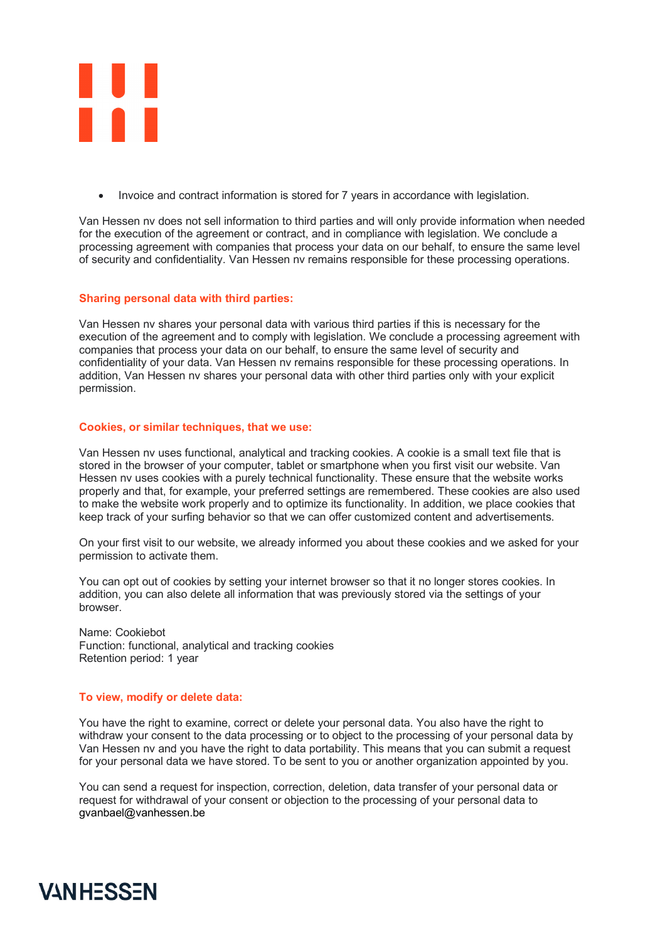

• Invoice and contract information is stored for 7 years in accordance with legislation.

Van Hessen nv does not sell information to third parties and will only provide information when needed for the execution of the agreement or contract, and in compliance with legislation. We conclude a processing agreement with companies that process your data on our behalf, to ensure the same level of security and confidentiality. Van Hessen nv remains responsible for these processing operations.

## **Sharing personal data with third parties:**

Van Hessen nv shares your personal data with various third parties if this is necessary for the execution of the agreement and to comply with legislation. We conclude a processing agreement with companies that process your data on our behalf, to ensure the same level of security and confidentiality of your data. Van Hessen nv remains responsible for these processing operations. In addition, Van Hessen nv shares your personal data with other third parties only with your explicit permission.

## **Cookies, or similar techniques, that we use:**

Van Hessen nv uses functional, analytical and tracking cookies. A cookie is a small text file that is stored in the browser of your computer, tablet or smartphone when you first visit our website. Van Hessen nv uses cookies with a purely technical functionality. These ensure that the website works properly and that, for example, your preferred settings are remembered. These cookies are also used to make the website work properly and to optimize its functionality. In addition, we place cookies that keep track of your surfing behavior so that we can offer customized content and advertisements.

On your first visit to our website, we already informed you about these cookies and we asked for your permission to activate them.

You can opt out of cookies by setting your internet browser so that it no longer stores cookies. In addition, you can also delete all information that was previously stored via the settings of your browser.

Name: Cookiebot Function: functional, analytical and tracking cookies Retention period: 1 year

#### **To view, modify or delete data:**

You have the right to examine, correct or delete your personal data. You also have the right to withdraw your consent to the data processing or to object to the processing of your personal data by Van Hessen nv and you have the right to data portability. This means that you can submit a request for your personal data we have stored. To be sent to you or another organization appointed by you.

You can send a request for inspection, correction, deletion, data transfer of your personal data or request for withdrawal of your consent or objection to the processing of your personal data to gvanbael@vanhessen.be